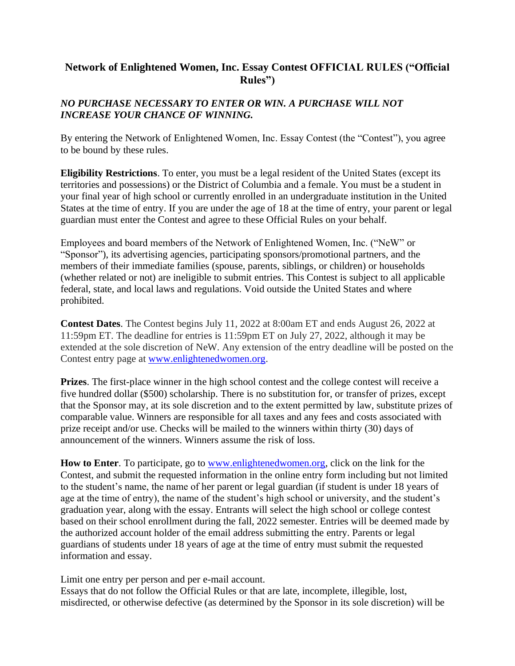## **Network of Enlightened Women, Inc. Essay Contest OFFICIAL RULES ("Official Rules")**

## *NO PURCHASE NECESSARY TO ENTER OR WIN. A PURCHASE WILL NOT INCREASE YOUR CHANCE OF WINNING.*

By entering the Network of Enlightened Women, Inc. Essay Contest (the "Contest"), you agree to be bound by these rules.

**Eligibility Restrictions**. To enter, you must be a legal resident of the United States (except its territories and possessions) or the District of Columbia and a female. You must be a student in your final year of high school or currently enrolled in an undergraduate institution in the United States at the time of entry. If you are under the age of 18 at the time of entry, your parent or legal guardian must enter the Contest and agree to these Official Rules on your behalf.

Employees and board members of the Network of Enlightened Women, Inc. ("NeW" or "Sponsor"), its advertising agencies, participating sponsors/promotional partners, and the members of their immediate families (spouse, parents, siblings, or children) or households (whether related or not) are ineligible to submit entries. This Contest is subject to all applicable federal, state, and local laws and regulations. Void outside the United States and where prohibited.

**Contest Dates**. The Contest begins July 11, 2022 at 8:00am ET and ends August 26, 2022 at 11:59pm ET. The deadline for entries is 11:59pm ET on July 27, 2022, although it may be extended at the sole discretion of NeW. Any extension of the entry deadline will be posted on the Contest entry page at [www.enlightenedwomen.org.](http://www.enlightenedwomen.org/)

**Prizes**. The first-place winner in the high school contest and the college contest will receive a five hundred dollar (\$500) scholarship. There is no substitution for, or transfer of prizes, except that the Sponsor may, at its sole discretion and to the extent permitted by law, substitute prizes of comparable value. Winners are responsible for all taxes and any fees and costs associated with prize receipt and/or use. Checks will be mailed to the winners within thirty (30) days of announcement of the winners. Winners assume the risk of loss.

**How to Enter**. To participate, go to [www.enlightenedwomen.org,](http://www.enlightenedwomen.org/) click on the link for the Contest, and submit the requested information in the online entry form including but not limited to the student's name, the name of her parent or legal guardian (if student is under 18 years of age at the time of entry), the name of the student's high school or university, and the student's graduation year, along with the essay. Entrants will select the high school or college contest based on their school enrollment during the fall, 2022 semester. Entries will be deemed made by the authorized account holder of the email address submitting the entry. Parents or legal guardians of students under 18 years of age at the time of entry must submit the requested information and essay.

Limit one entry per person and per e-mail account.

Essays that do not follow the Official Rules or that are late, incomplete, illegible, lost, misdirected, or otherwise defective (as determined by the Sponsor in its sole discretion) will be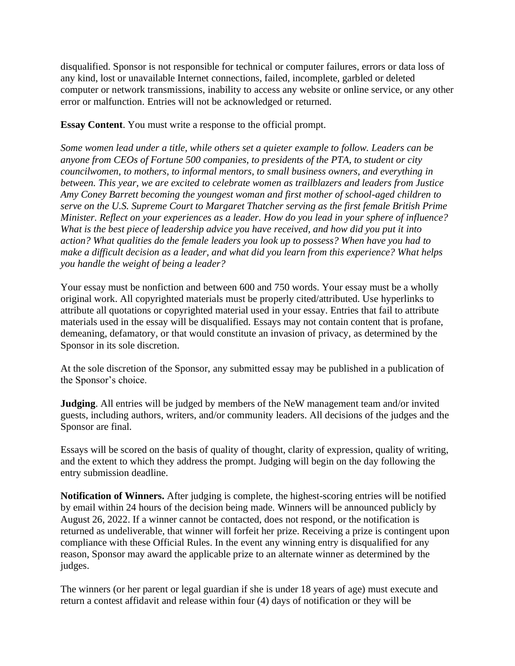disqualified. Sponsor is not responsible for technical or computer failures, errors or data loss of any kind, lost or unavailable Internet connections, failed, incomplete, garbled or deleted computer or network transmissions, inability to access any website or online service, or any other error or malfunction. Entries will not be acknowledged or returned.

**Essay Content**. You must write a response to the official prompt.

*Some women lead under a title, while others set a quieter example to follow. Leaders can be anyone from CEOs of Fortune 500 companies, to presidents of the PTA, to student or city councilwomen, to mothers, to informal mentors, to small business owners, and everything in between. This year, we are excited to celebrate women as trailblazers and leaders from Justice Amy Coney Barrett becoming the youngest woman and first mother of school-aged children to serve on the U.S. Supreme Court to Margaret Thatcher serving as the first female British Prime Minister. Reflect on your experiences as a leader. How do you lead in your sphere of influence? What is the best piece of leadership advice you have received, and how did you put it into action? What qualities do the female leaders you look up to possess? When have you had to make a difficult decision as a leader, and what did you learn from this experience? What helps you handle the weight of being a leader?*

Your essay must be nonfiction and between 600 and 750 words. Your essay must be a wholly original work. All copyrighted materials must be properly cited/attributed. Use hyperlinks to attribute all quotations or copyrighted material used in your essay. Entries that fail to attribute materials used in the essay will be disqualified. Essays may not contain content that is profane, demeaning, defamatory, or that would constitute an invasion of privacy, as determined by the Sponsor in its sole discretion.

At the sole discretion of the Sponsor, any submitted essay may be published in a publication of the Sponsor's choice.

**Judging**. All entries will be judged by members of the NeW management team and/or invited guests, including authors, writers, and/or community leaders. All decisions of the judges and the Sponsor are final.

Essays will be scored on the basis of quality of thought, clarity of expression, quality of writing, and the extent to which they address the prompt. Judging will begin on the day following the entry submission deadline.

**Notification of Winners.** After judging is complete, the highest-scoring entries will be notified by email within 24 hours of the decision being made. Winners will be announced publicly by August 26, 2022. If a winner cannot be contacted, does not respond, or the notification is returned as undeliverable, that winner will forfeit her prize. Receiving a prize is contingent upon compliance with these Official Rules. In the event any winning entry is disqualified for any reason, Sponsor may award the applicable prize to an alternate winner as determined by the judges.

The winners (or her parent or legal guardian if she is under 18 years of age) must execute and return a contest affidavit and release within four (4) days of notification or they will be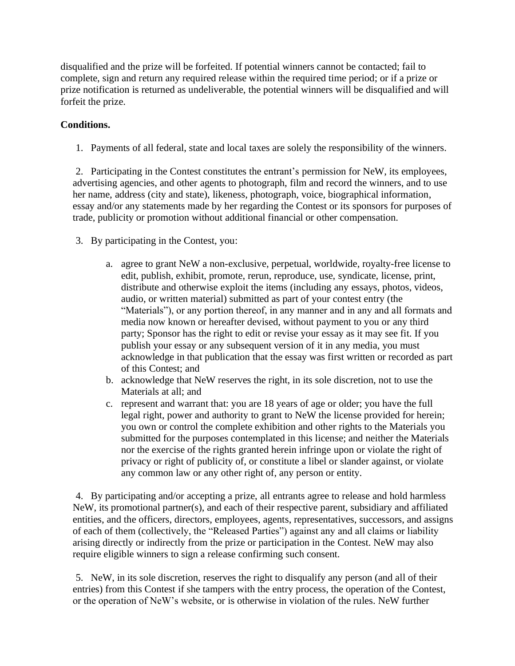disqualified and the prize will be forfeited. If potential winners cannot be contacted; fail to complete, sign and return any required release within the required time period; or if a prize or prize notification is returned as undeliverable, the potential winners will be disqualified and will forfeit the prize.

## **Conditions.**

1. Payments of all federal, state and local taxes are solely the responsibility of the winners.

2. Participating in the Contest constitutes the entrant's permission for NeW, its employees, advertising agencies, and other agents to photograph, film and record the winners, and to use her name, address (city and state), likeness, photograph, voice, biographical information, essay and/or any statements made by her regarding the Contest or its sponsors for purposes of trade, publicity or promotion without additional financial or other compensation.

- 3. By participating in the Contest, you:
	- a. agree to grant NeW a non-exclusive, perpetual, worldwide, royalty-free license to edit, publish, exhibit, promote, rerun, reproduce, use, syndicate, license, print, distribute and otherwise exploit the items (including any essays, photos, videos, audio, or written material) submitted as part of your contest entry (the "Materials"), or any portion thereof, in any manner and in any and all formats and media now known or hereafter devised, without payment to you or any third party; Sponsor has the right to edit or revise your essay as it may see fit. If you publish your essay or any subsequent version of it in any media, you must acknowledge in that publication that the essay was first written or recorded as part of this Contest; and
	- b. acknowledge that NeW reserves the right, in its sole discretion, not to use the Materials at all; and
	- c. represent and warrant that: you are 18 years of age or older; you have the full legal right, power and authority to grant to NeW the license provided for herein; you own or control the complete exhibition and other rights to the Materials you submitted for the purposes contemplated in this license; and neither the Materials nor the exercise of the rights granted herein infringe upon or violate the right of privacy or right of publicity of, or constitute a libel or slander against, or violate any common law or any other right of, any person or entity.

4. By participating and/or accepting a prize, all entrants agree to release and hold harmless NeW, its promotional partner(s), and each of their respective parent, subsidiary and affiliated entities, and the officers, directors, employees, agents, representatives, successors, and assigns of each of them (collectively, the "Released Parties") against any and all claims or liability arising directly or indirectly from the prize or participation in the Contest. NeW may also require eligible winners to sign a release confirming such consent.

5. NeW, in its sole discretion, reserves the right to disqualify any person (and all of their entries) from this Contest if she tampers with the entry process, the operation of the Contest, or the operation of NeW's website, or is otherwise in violation of the rules. NeW further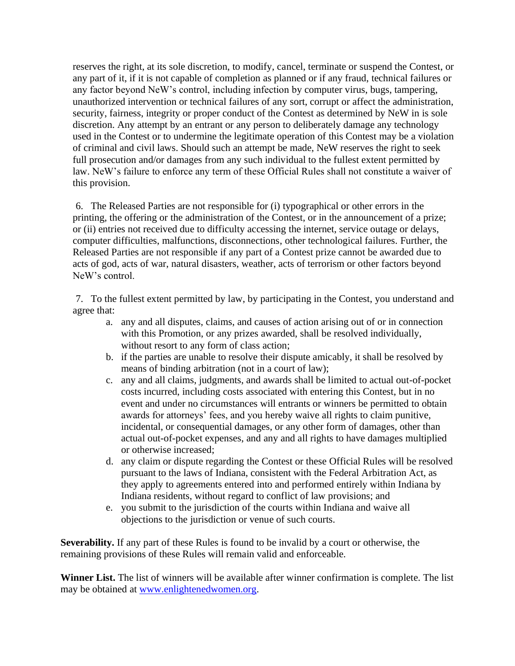reserves the right, at its sole discretion, to modify, cancel, terminate or suspend the Contest, or any part of it, if it is not capable of completion as planned or if any fraud, technical failures or any factor beyond NeW's control, including infection by computer virus, bugs, tampering, unauthorized intervention or technical failures of any sort, corrupt or affect the administration, security, fairness, integrity or proper conduct of the Contest as determined by NeW in is sole discretion. Any attempt by an entrant or any person to deliberately damage any technology used in the Contest or to undermine the legitimate operation of this Contest may be a violation of criminal and civil laws. Should such an attempt be made, NeW reserves the right to seek full prosecution and/or damages from any such individual to the fullest extent permitted by law. NeW's failure to enforce any term of these Official Rules shall not constitute a waiver of this provision.

6. The Released Parties are not responsible for (i) typographical or other errors in the printing, the offering or the administration of the Contest, or in the announcement of a prize; or (ii) entries not received due to difficulty accessing the internet, service outage or delays, computer difficulties, malfunctions, disconnections, other technological failures. Further, the Released Parties are not responsible if any part of a Contest prize cannot be awarded due to acts of god, acts of war, natural disasters, weather, acts of terrorism or other factors beyond NeW's control.

7. To the fullest extent permitted by law, by participating in the Contest, you understand and agree that:

- a. any and all disputes, claims, and causes of action arising out of or in connection with this Promotion, or any prizes awarded, shall be resolved individually, without resort to any form of class action;
- b. if the parties are unable to resolve their dispute amicably, it shall be resolved by means of binding arbitration (not in a court of law);
- c. any and all claims, judgments, and awards shall be limited to actual out-of-pocket costs incurred, including costs associated with entering this Contest, but in no event and under no circumstances will entrants or winners be permitted to obtain awards for attorneys' fees, and you hereby waive all rights to claim punitive, incidental, or consequential damages, or any other form of damages, other than actual out-of-pocket expenses, and any and all rights to have damages multiplied or otherwise increased;
- d. any claim or dispute regarding the Contest or these Official Rules will be resolved pursuant to the laws of Indiana, consistent with the Federal Arbitration Act, as they apply to agreements entered into and performed entirely within Indiana by Indiana residents, without regard to conflict of law provisions; and
- e. you submit to the jurisdiction of the courts within Indiana and waive all objections to the jurisdiction or venue of such courts.

**Severability.** If any part of these Rules is found to be invalid by a court or otherwise, the remaining provisions of these Rules will remain valid and enforceable.

**Winner List.** The list of winners will be available after winner confirmation is complete. The list may be obtained at [www.enlightenedwomen.org.](http://www.enlightenedwomen.org/)